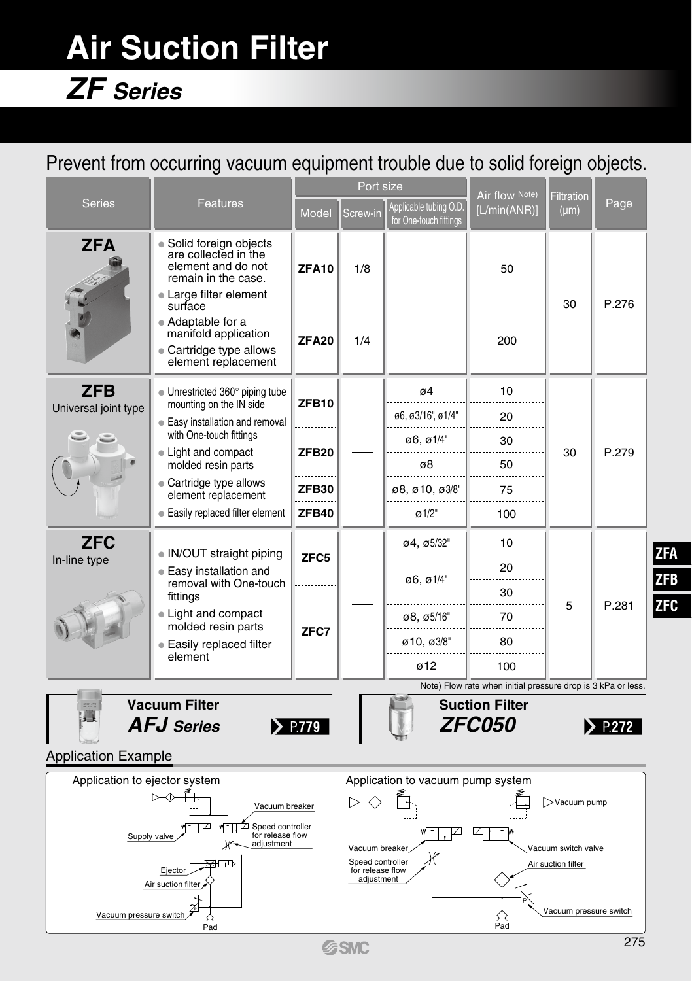# **Air Suction Filter**

## *ZF Series*

## Prevent from occurring vacuum equipment trouble due to solid foreign objects.

|                                                                                                                         |                                                                                                                                        |              | Port size                                                                                                                      |                                                  | Air flow Note)                                               | <b>Filtration</b>      |                        |                                        |  |
|-------------------------------------------------------------------------------------------------------------------------|----------------------------------------------------------------------------------------------------------------------------------------|--------------|--------------------------------------------------------------------------------------------------------------------------------|--------------------------------------------------|--------------------------------------------------------------|------------------------|------------------------|----------------------------------------|--|
| <b>Series</b>                                                                                                           | <b>Features</b>                                                                                                                        | <b>Model</b> | Screw-in                                                                                                                       | Applicable tubing O.D.<br>for One-touch fittings | [L/min(ANR)]                                                 | $(\mu m)$              | Page                   |                                        |  |
| <b>ZFA</b>                                                                                                              | • Solid foreign objects<br>are collected in the<br>element and do not<br>remain in the case.<br>• Large filter element<br>surface      | <b>ZFA10</b> | 1/8                                                                                                                            |                                                  | 50<br>30                                                     |                        | P.276                  |                                        |  |
|                                                                                                                         | $\bullet$ Adaptable for a<br>manifold application<br>• Cartridge type allows<br>element replacement                                    | <b>ZFA20</b> | 1/4                                                                                                                            |                                                  | 200                                                          |                        |                        |                                        |  |
| <b>ZFB</b>                                                                                                              | • Unrestricted 360° piping tube                                                                                                        | <b>ZFB10</b> |                                                                                                                                | $\sigma$ 4                                       | 10                                                           |                        |                        |                                        |  |
| Universal joint type                                                                                                    | mounting on the IN side<br>• Easy installation and removal                                                                             |              |                                                                                                                                | ø6, ø3/16", ø1/4"                                | 20                                                           |                        |                        |                                        |  |
|                                                                                                                         | with One-touch fittings<br>• Light and compact                                                                                         | <b>ZFB20</b> |                                                                                                                                | ø6, ø1/4"                                        | 30                                                           | 30                     | P.279                  | <b>ZFA</b><br><b>ZFB</b><br><b>ZFC</b> |  |
|                                                                                                                         | molded resin parts                                                                                                                     |              |                                                                                                                                | ø8                                               | 50                                                           |                        |                        |                                        |  |
|                                                                                                                         | • Cartridge type allows<br>element replacement                                                                                         | ZFB30        |                                                                                                                                | ø8, ø10, ø3/8"                                   | 75                                                           |                        |                        |                                        |  |
|                                                                                                                         | • Easily replaced filter element                                                                                                       | <b>ZFB40</b> |                                                                                                                                | $\varnothing$ 1/2"                               | 100                                                          |                        |                        |                                        |  |
| <b>ZFC</b>                                                                                                              | • IN/OUT straight piping<br>• Easy installation and<br>removal with One-touch<br>fittings<br>• Light and compact<br>molded resin parts | ZFC5         |                                                                                                                                | ø4, ø5/32"                                       | 10                                                           | 5                      | P.281                  |                                        |  |
| In-line type                                                                                                            |                                                                                                                                        |              |                                                                                                                                | 06.01/4                                          | 20                                                           |                        |                        |                                        |  |
|                                                                                                                         |                                                                                                                                        | ZFC7         |                                                                                                                                |                                                  | 30                                                           |                        |                        |                                        |  |
|                                                                                                                         |                                                                                                                                        |              |                                                                                                                                |                                                  | ø8, ø5/16"                                                   | 70                     |                        |                                        |  |
|                                                                                                                         | <b>Easily replaced filter</b>                                                                                                          |              |                                                                                                                                | ø 10, ø3/8"                                      | 80                                                           |                        |                        |                                        |  |
|                                                                                                                         | element                                                                                                                                |              |                                                                                                                                | 012                                              | 100                                                          |                        |                        |                                        |  |
|                                                                                                                         | <b>Vacuum Filter</b>                                                                                                                   |              |                                                                                                                                |                                                  | Note) Flow rate when initial pressure drop is 3 kPa or less. |                        |                        |                                        |  |
|                                                                                                                         | <b>AFJ</b> Series                                                                                                                      | $\sum$ P.779 |                                                                                                                                |                                                  | <b>Suction Filter</b><br><i>ZFC050</i>                       |                        | $\triangleright$ P.272 |                                        |  |
| <b>Application Example</b>                                                                                              |                                                                                                                                        |              |                                                                                                                                |                                                  |                                                              |                        |                        |                                        |  |
| Application to ejector system<br>Application to vacuum pump system                                                      |                                                                                                                                        |              |                                                                                                                                |                                                  |                                                              |                        |                        |                                        |  |
| Vacuum breaker                                                                                                          |                                                                                                                                        |              |                                                                                                                                | >Vacuum pump                                     |                                                              |                        |                        |                                        |  |
| Speed controller<br>TP<br>∞<br>for release flow<br>Supply valve<br>adjustment<br>झागा≽<br>Ejector<br>Air suction filter |                                                                                                                                        |              | प्या<br>☑<br>Vacuum breaker<br>Vacuum switch valve<br>Speed controller<br>Air suction filter<br>for release flow<br>adjustment |                                                  |                                                              |                        |                        |                                        |  |
| Vacuum pressure switch                                                                                                  | ⊠<br>Pad                                                                                                                               |              |                                                                                                                                |                                                  | $\bigotimes_{\text{Pad}}$                                    | Vacuum pressure switch |                        |                                        |  |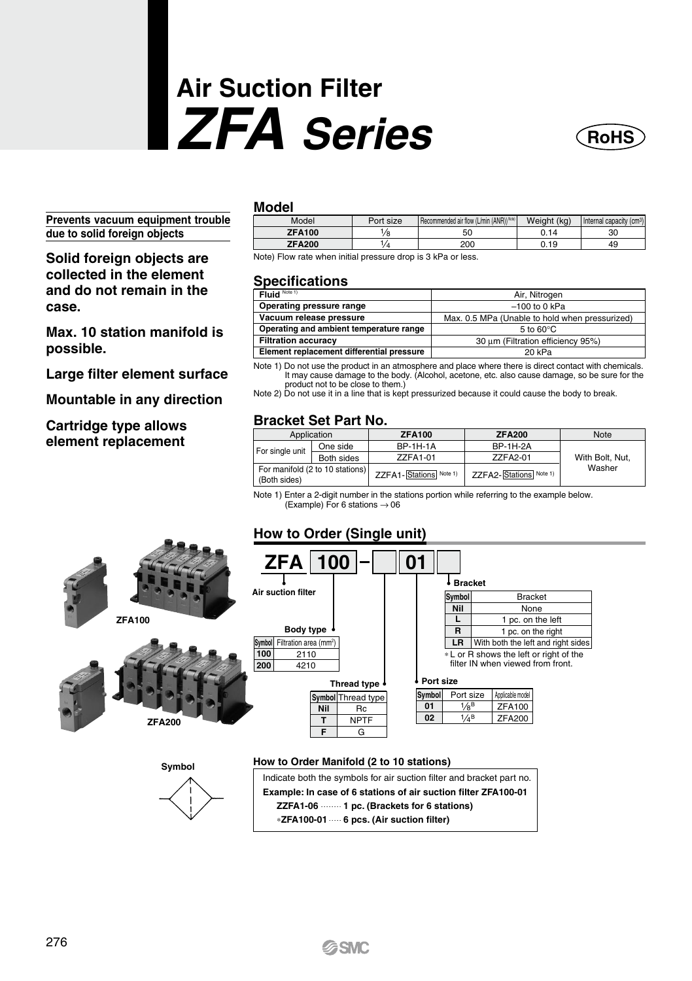# **Air Suction Filter** *ZFA Series*



**Prevents vacuum equipment trouble due to solid foreign objects**

**Solid foreign objects are collected in the element and do not remain in the case.**

**Max. 10 station manifold is possible.**

**Large filter element surface**

**Mountable in any direction**

**Cartridge type allows element replacement**

#### **Model**

| Model         | Port size | Recommended air flow (L/min (ANR)) <sup>Non)</sup> | Weight (kg) | Internal capacity (cm <sup>3</sup> ) |
|---------------|-----------|----------------------------------------------------|-------------|--------------------------------------|
| <b>ZFA100</b> |           | 50                                                 | 0.14        | 30                                   |
| <b>ZFA200</b> | ، ،       | 200                                                | 0.19        | 49                                   |

Note) Flow rate when initial pressure drop is 3 kPa or less.

#### **Specifications**

| ---------------                           |                                                |  |  |  |
|-------------------------------------------|------------------------------------------------|--|--|--|
| Fluid Note 1)                             | Air, Nitrogen                                  |  |  |  |
| Operating pressure range                  | $-100$ to 0 kPa                                |  |  |  |
| Vacuum release pressure                   | Max. 0.5 MPa (Unable to hold when pressurized) |  |  |  |
| Operating and ambient temperature range   | $5 \text{ to } 60^{\circ}$ C                   |  |  |  |
| <b>Filtration accuracy</b>                | 30 um (Filtration efficiency 95%)              |  |  |  |
| Element replacement differential pressure | 20 kPa                                         |  |  |  |

Note 1) Do not use the product in an atmosphere and place where there is direct contact with chemicals. It may cause damage to the body. (Alcohol, acetone, etc. also cause damage, so be sure for the

product not to be close to them.) Note 2) Do not use it in a line that is kept pressurized because it could cause the body to break.

#### **Bracket Set Part No.**

| Application                                     |                             | <b>ZFA100</b>          | <b>ZFA200</b>          | Note            |  |
|-------------------------------------------------|-----------------------------|------------------------|------------------------|-----------------|--|
| For single unit                                 | <b>BP-1H-1A</b><br>One side |                        | <b>BP-1H-2A</b>        |                 |  |
|                                                 | Both sides                  | ZZFA1-01               | ZZFA2-01               | With Bolt. Nut. |  |
| For manifold (2 to 10 stations)<br>(Both sides) |                             | ZZFA1-Stations Note 1) | ZZFA2-Stations Note 1) | Washer          |  |

Note 1) Enter a 2-digit number in the stations portion while referring to the example below.  $Example$ ) For 6 stations  $\rightarrow$  06

#### **ZFA100 ZFA200 How to Order (Single unit) ZFA 100 01 Thread type Air suction filter Port size**  $\frac{1}{8}$  $\frac{1}{4}$ <sup>E</sup> **Body type Bracket** ∗ L or R shows the left or right of the filter IN when viewed from front. 2110 4210 **100** ymbol Filtration area (mm<sup>2</sup>) **200 Nil**  $\frac{1}{5}$ **Rc Symbol** Thread type NPTF **F** G **Symbol Nil L None** Bracket 1 pc. on the left **R LR** With both the left and right sides 1 pc. on the right **02 01 Symbol** Port size | Applicable mode ZEA200 ZFA100 **How to Order Manifold (2 to 10 stations)** Indicate both the symbols for air suction filter and bracket part no. **Example: In case of 6 stations of air suction filter ZFA100-01**  ZZFA1-06 **.......** 1 pc. (Brackets for 6 stations) ∗**ZFA100-01 6 pcs. (Air suction filter) Symbol**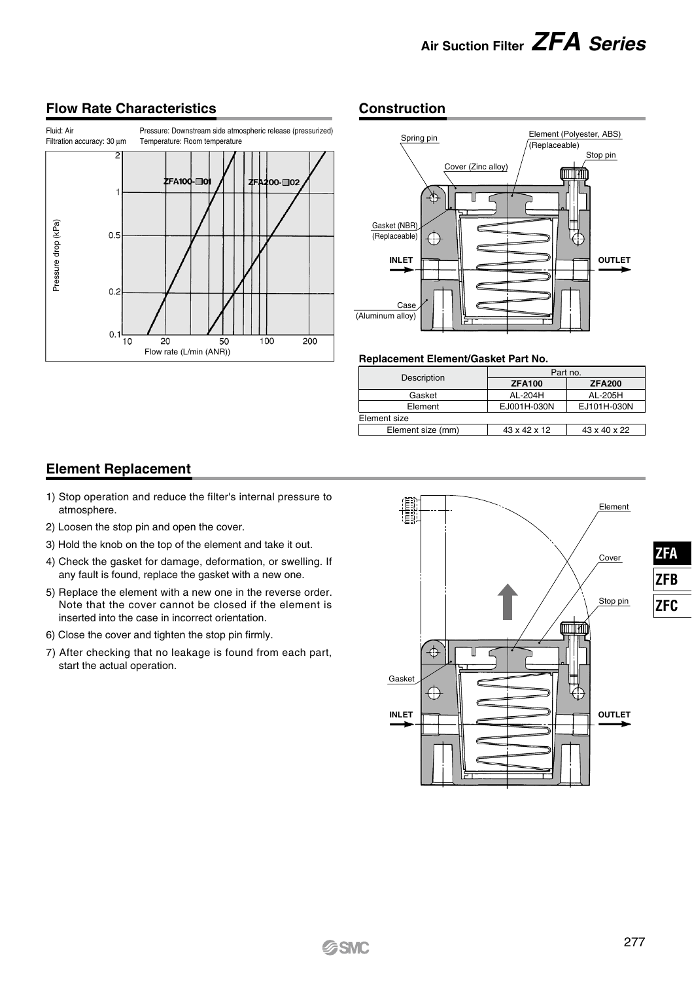## **Air Suction Filter** *ZFA Series*

#### Fluid: Air Pressure: Downstream side atmospheric release (pressurized) Temperature: Room temperature  $\overline{2}$ FA100n. mos Pressure drop (kPa) Pressure drop (kPa)  $0.5$  $0.2$  $0.$  $\frac{1}{10}$  $\overline{20}$  $\frac{1}{100}$  $\frac{1}{200}$  $50$ Flow rate (L/min (ANR))

#### **Flow Rate Characteristics Construction**



#### **Replacement Element/Gasket Part No.**

|                   | Part no.      |               |  |  |  |  |
|-------------------|---------------|---------------|--|--|--|--|
| Description       | <b>ZFA100</b> | <b>ZFA200</b> |  |  |  |  |
| Gasket            | AL-204H       | AL-205H       |  |  |  |  |
| Element           | EJ001H-030N   | EJ101H-030N   |  |  |  |  |
| Element size      |               |               |  |  |  |  |
| Element size (mm) | 43 x 42 x 12  | 43 x 40 x 22  |  |  |  |  |
|                   |               |               |  |  |  |  |

#### **Element Replacement**

- 1) Stop operation and reduce the filter's internal pressure to atmosphere.
- 2) Loosen the stop pin and open the cover.
- 3) Hold the knob on the top of the element and take it out.
- 4) Check the gasket for damage, deformation, or swelling. If any fault is found, replace the gasket with a new one.
- 5) Replace the element with a new one in the reverse order. Note that the cover cannot be closed if the element is inserted into the case in incorrect orientation.
- 6) Close the cover and tighten the stop pin firmly.
- 7) After checking that no leakage is found from each part, start the actual operation.